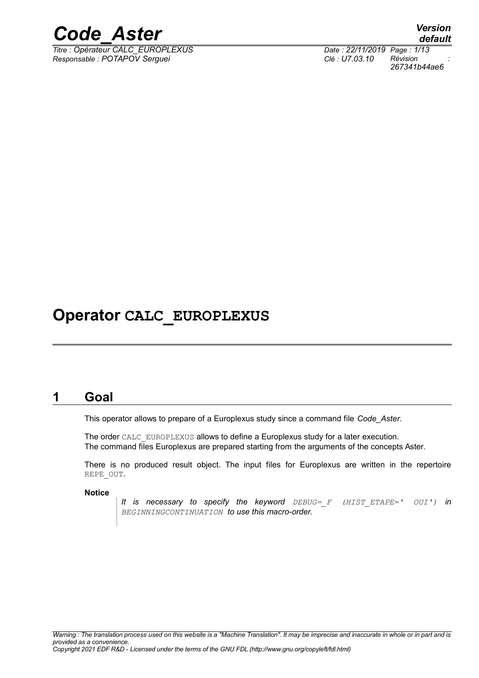

 $\overline{T}$ itre : Opérateur CALC\_EUROPLEXUS *Responsable : POTAPOV Serguei Clé : U7.03.10 Révision :*

*default 267341b44ae6*

### **Operator CALC\_EUROPLEXUS**

### **1 Goal**

This operator allows to prepare of a Europlexus study since a command file *Code\_Aster*.

The order CALC\_EUROPLEXUS allows to define a Europlexus study for a later execution. The command files Europlexus are prepared starting from the arguments of the concepts Aster.

There is no produced result object. The input files for Europlexus are written in the repertoire REPE\_OUT.

**Notice**

*It is necessary to specify the keyword DEBUG=\_F (HIST\_ETAPE=' OUI') in BEGINNINGCONTINUATION to use this macro-order.*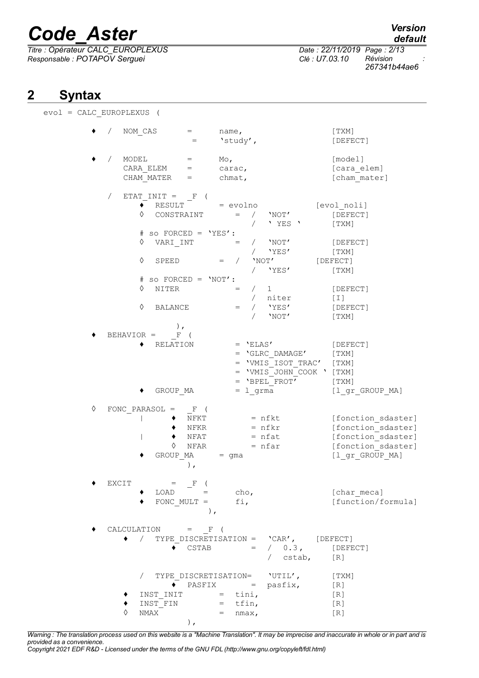*Titre : Opérateur CALC\_EUROPLEXUS Date : 22/11/2019 Page : 2/13 Responsable : POTAPOV Serguei Clé : U7.03.10 Révision :*

*267341b44ae6*

### **2 Syntax**

 $evol =$ 

|   | CALC EUROPLEXUS (                                                          |                                                                                                                                                                                 |                                                                                                       |                                                                                                         |
|---|----------------------------------------------------------------------------|---------------------------------------------------------------------------------------------------------------------------------------------------------------------------------|-------------------------------------------------------------------------------------------------------|---------------------------------------------------------------------------------------------------------|
|   | NOM CAS                                                                    | name,<br>'study',                                                                                                                                                               |                                                                                                       | [ TXM ]<br>[DEFECT]                                                                                     |
|   | MODEL<br>$\mathtt{CARA\_ELEM} \qquad \mathtt{=}$<br>CHAM MATER             | $_{\rm MO}$<br>$=$<br>carac,<br>chmat,<br>$=$                                                                                                                                   |                                                                                                       | [model]<br>[cara elem]<br>[cham mater]                                                                  |
|   | ETAT $INT = F$<br>RESULT<br>CONSTRAINT<br>♦<br>♦<br>VARI INT<br>♦<br>SPEED | = evolno<br>$=$<br>so $FORCED = 'YES':$<br>$\sqrt{2}$<br>$=$                                                                                                                    | $/$ 'NOT'<br>' YES '<br>$/$ 'NOT'<br>/ 'YES'<br>'NOT'<br>/ 'YES'                                      | [evol_noli]<br>[DEFECT]<br>[TXM]<br>[DEFECT]<br>[TXM]<br>[DEFECT]<br>[TXM]                              |
|   | ♦<br>NITER<br>♦<br>BALANCE                                                 | $#$ so FORCED = $'NOT':$<br>$=$<br>$\sqrt{2}$                                                                                                                                   | $/$ 1<br>/ niter<br>/ $'YES'$<br>'NOT'                                                                | [DEFECT]<br>$[1]$<br>[DEFECT]<br>[TXM]                                                                  |
|   | $\,$ ,<br>$BEHAVIOR = F$<br>RELATION<br>GROUP MA                           | $= 1$ grma                                                                                                                                                                      | $=$ 'ELAS'<br>$=$ 'GLRC DAMAGE'<br>= 'VMIS ISOT TRAC'<br>= 'VMIS JOHN COOK ' [TXM]<br>$=$ 'BPEL FROT' | [DEFECT]<br>[TXM]<br>[TXM]<br>[TXM]<br>$[1$ <sup>or</sup> GROUP MA]                                     |
| ♦ | FONC PARASOL $=$<br>♦<br>GROUP MA                                          | $F$ (<br>NFKT<br>NFKR<br>NFAT<br>NFAR<br>$=$ qma<br>$)$ ,                                                                                                                       | $= nfkt$<br>$= nfkr$<br>$=$ nfat<br>$= nfar$                                                          | [fonction sdaster]<br>[fonction sdaster]<br>[fonction sdaster]<br>[fonction sdaster]<br>[1 gr GROUP MA] |
|   | EXCIT<br>$=$ $-F$<br>FONC MULT =                                           | cho <sub>r</sub><br>$\begin{array}{ccc} \text{LOAD} & = & \end{array}$<br>fi,<br>$\,$ ,                                                                                         |                                                                                                       | [char meca]<br>[function/formula]                                                                       |
|   | CALCULATION = $F($                                                         | $\bullet$ CSTAB                                                                                                                                                                 | $\bullet$ / TYPE DISCRETISATION = $'CAR'$ , [DEFECT]<br>$= / 0.3$ , [DEFECT]<br>/ cstab, [R]          |                                                                                                         |
|   | INST FIN<br>NMAX<br>♦                                                      | $\overline{\phantom{a}}$ PASFIX = pasfix,<br>$\begin{minipage}{0.9\linewidth} \texttt{INST\_INIT} & = & \texttt{tini,} \end{minipage}$<br>$=$ tfin,<br>$=$ nmax,<br>$\,$ , $\,$ | / TYPE DISCRETISATION= 'UTIL',                                                                        | [TXM]<br>[R]<br>[R]<br>[R]<br>[R]                                                                       |

*Warning : The translation process used on this website is a "Machine Translation". It may be imprecise and inaccurate in whole or in part and is provided as a convenience.*

*Copyright 2021 EDF R&D - Licensed under the terms of the GNU FDL (http://www.gnu.org/copyleft/fdl.html)*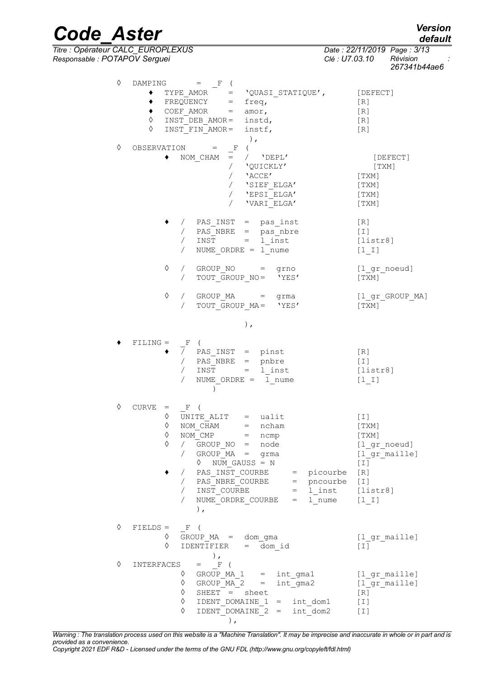| Version |  |
|---------|--|
| default |  |

*Code\_Aster Verall*<br> *Titre* : Opérateur CALC EUROPLEXUS Date : 22/11/2019 Page : 3/13 *Titre : Opérateur CALC\_EUROPLEXUS Date : 22/11/2019 Page : 3/13*

*Responsable : POTAPOV Serguei Clé : U7.03.10 Révision :*

*267341b44ae6*

| ♦ | DAMPING $=$ F (<br>TYPE AMOR $=$ $\text{VQUASI\_STATIQUE}$ ,<br>٠<br>$\bullet$ FREQUENCY = freq,                                                                                                                                                                                                                                                                                         | [DEFECT]                                                                               |
|---|------------------------------------------------------------------------------------------------------------------------------------------------------------------------------------------------------------------------------------------------------------------------------------------------------------------------------------------------------------------------------------------|----------------------------------------------------------------------------------------|
|   | COEF AMOR = $amor$ ,<br>$\bullet$<br>INST DEB AMOR= instd,<br>♦<br>$\Diamond$<br>INST FIN AMOR= instf,                                                                                                                                                                                                                                                                                   | [R]<br>[R]<br>[R]<br>[R]                                                               |
| ♦ | $\rightarrow$<br>OBSERVATION =<br>$\left($<br>$\mathbb{F}$<br>$=$ / $'$ $DEPL'$<br>NOM CHAM<br>/ 'QUICKLY'<br>'ACCE'<br>$\sqrt{2}$<br>'SIEF ELGA'<br>/ $'EFSI$ $ELGA'$<br>$\sqrt{2}$<br>'VARI ELGA'                                                                                                                                                                                      | [DEFECT]<br>[TXM]<br>[TXM]<br>[TXM]<br>[TXM]<br>[TXM]                                  |
|   | / PAS_INST = pas_inst<br>/ $PAS$ NBRE = $pas_{n}$ hbre<br>$/$ INST = 1 inst<br>NUME ORDRE $=$ 1 nume                                                                                                                                                                                                                                                                                     | [R]<br>$[\;1\;]$<br>[listr8]<br>$[1 1]$                                                |
|   | ♦<br>/ GROUP NO = grno<br>TOUT GROUP NO= 'YES'<br>$\sqrt{2}$                                                                                                                                                                                                                                                                                                                             | [l gr noeud]<br>[ TXM ]                                                                |
|   | ♦<br>/ GROUP MA = grma<br>TOUT_GROUP_MA= 'YES'<br>$\sqrt{2}$                                                                                                                                                                                                                                                                                                                             | [l_gr_GROUP MA]<br>[TXM]                                                               |
|   | ),                                                                                                                                                                                                                                                                                                                                                                                       |                                                                                        |
|   | $FILING = F$<br>$\left($<br>PAS INST = pinst<br>$\sqrt{2}$<br>PAS NBRE = pnbre<br>$\sqrt{2}$<br>$INST = 1_{inst}$<br>$\sqrt{2}$<br>NUME ORDRE = $1$ nume<br>$\sqrt{2}$<br>$\mathcal{L}$                                                                                                                                                                                                  | [R]<br>[I]<br>[liststr8]<br>$[1 1]$                                                    |
| ♦ | $CURVE = F ($<br>$\Diamond$ UNITE ALIT = ualit<br>NOM $\overline{CHAM}$ = ncham<br>♦<br>$NOM\_CMP$ = $ncmp$<br>♦<br>♦<br>GROUP_NO = node<br>$\sqrt{2}$<br>/ GROUP MA = grma<br>$\Diamond$ NUM GAUSS = N<br>PAS_INST_COURBE = picourbe<br>$\sqrt{2}$<br>/ PAS_NBRE_COURBE = pncourbe<br>/ $INST_COURBE = 1_{inst} [listr8]$<br>NUME ORDRE COURBE = $1$ nume $[1 \t1]$<br>$\sqrt{2}$<br>), | [T]<br>[TXM]<br>$[\texttt{TXM}]$<br>[l gr noeud]<br>[1 gr maille]<br>[T]<br>[R]<br>[I] |
| ♦ | $FIELDS = F$ (<br>$\Diamond$ GROUP MA = dom gma<br>IDENTIFIER = $\overline{dom} id$<br>♦                                                                                                                                                                                                                                                                                                 | [l gr maille]<br>[T]                                                                   |
| ♦ | $\rightarrow$<br>INTERFACES = $F($<br>0 GROUP MA 1 = int gma1 [l gr maille]<br>$\sqrt{}$ GROUP MA 2 = int gma2 [1 gr maille]<br>♦<br>SHEET = sheet<br>$\Diamond$ IDENT DOMAINE 1 = int dom1<br>♦<br>IDENT DOMAINE 2 = int dom2<br>),                                                                                                                                                     | [R]<br>[I]<br>$[\;1]$                                                                  |

*Warning : The translation process used on this website is a "Machine Translation". It may be imprecise and inaccurate in whole or in part and is provided as a convenience. Copyright 2021 EDF R&D - Licensed under the terms of the GNU FDL (http://www.gnu.org/copyleft/fdl.html)*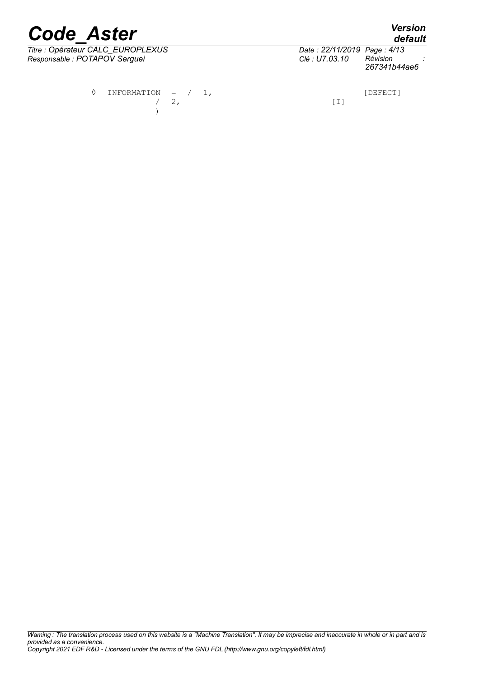*Titre : Opérateur CALC\_EUROPLEXUS Date : 22/11/2019 Page : 4/13 Responsable : POTAPOV Serguei Clé : U7.03.10 Révision :*

|                             | default      |
|-----------------------------|--------------|
| Date: 22/11/2019 Page: 4/13 |              |
| Clé : U7.03.10              | Révision     |
|                             | 267341b44ae6 |

 $\Diamond$  INFORMATION =  $/$  1,  $/ 2$ , [I] )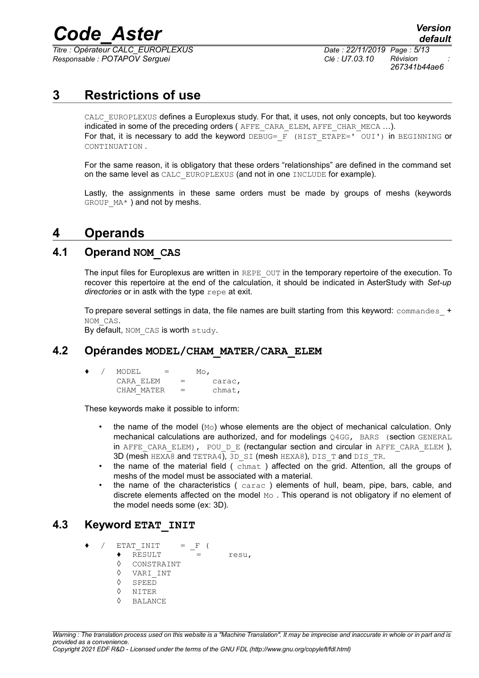*Titre : Opérateur CALC\_EUROPLEXUS Date : 22/11/2019 Page : 5/13 Responsable : POTAPOV Serguei Clé : U7.03.10 Révision :*

*267341b44ae6*

### **3 Restrictions of use**

CALC EUROPLEXUS defines a Europlexus study. For that, it uses, not only concepts, but too keywords indicated in some of the preceding orders ( AFFE\_CARA\_ELEM, AFFE\_CHAR\_MECA ...). For that, it is necessary to add the keyword  $DEBUG=$   $\overline{F}$  (HIST ETAPE=' OUI') in BEGINNING or CONTINUATION .

For the same reason, it is obligatory that these orders "relationships" are defined in the command set on the same level as CALC\_EUROPLEXUS (and not in one INCLUDE for example).

Lastly, the assignments in these same orders must be made by groups of meshs (keywords GROUP  $MA*$ ) and not by meshs.

### **4 Operands**

#### **4.1 Operand NOM\_CAS**

The input files for Europlexus are written in REPE OUT in the temporary repertoire of the execution. To recover this repertoire at the end of the calculation, it should be indicated in AsterStudy with *Set-up directories* or in astk with the type repe at exit.

To prepare several settings in data, the file names are built starting from this keyword:  $\text{commandes}$  + NOM\_CAS.

By default, NOM CAS is worth study.

#### **4.2 Opérandes MODEL/CHAM\_MATER/CARA\_ELEM**

| ۰ | MODEL<br>$=$ |     | $_{\text{Mo}}$ |
|---|--------------|-----|----------------|
|   | CARA ELEM    | $=$ | carac,         |
|   | CHAM MATER   | $=$ | chmat,         |

These keywords make it possible to inform:

- the name of the model  $(M<sub>O</sub>)$  whose elements are the object of mechanical calculation. Only mechanical calculations are authorized, and for modelings Q4GG, BARS (section GENERAL in AFFE CARA ELEM), POU D E (rectangular section and circular in AFFE CARA ELEM ), 3D (mesh HEXA8 and TETRA4), 3D SI (mesh HEXA8), DIS T and DIS TR.
- the name of the material field (chmat) affected on the grid. Attention, all the groups of meshs of the model must be associated with a material.
- the name of the characteristics ( carac ) elements of hull, beam, pipe, bars, cable, and discrete elements affected on the model Mo . This operand is not obligatory if no element of the model needs some (ex: 3D).

#### **4.3 Keyword ETAT\_INIT**

- $ETAT$  INIT =  $F$  (
	- $\triangle$  RESULT = resu.
	- ◊ CONSTRAINT
	- ◊ VARI\_INT
	- ◊ SPEED
	- ◊ NITER
	- ◊ BALANCE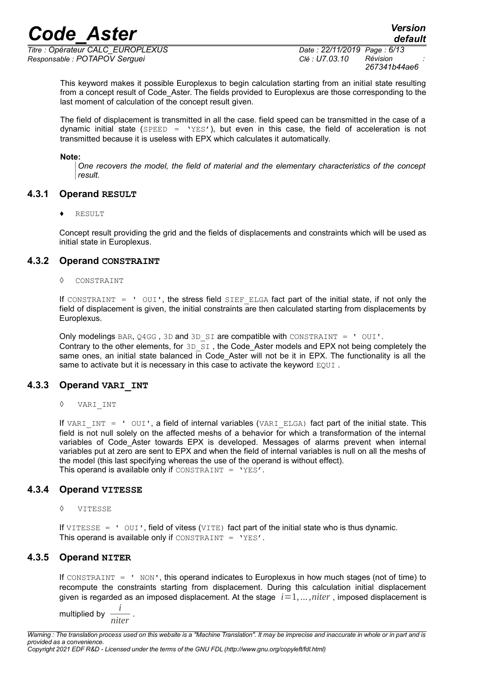*Titre : Opérateur CALC\_EUROPLEXUS Date : 22/11/2019 Page : 6/13 Responsable : POTAPOV Serguei Clé : U7.03.10 Révision :*

*default*

This keyword makes it possible Europlexus to begin calculation starting from an initial state resulting from a concept result of Code\_Aster. The fields provided to Europlexus are those corresponding to the last moment of calculation of the concept result given.

The field of displacement is transmitted in all the case. field speed can be transmitted in the case of a dynamic initial state ( $SPEED = YE S$ ), but even in this case, the field of acceleration is not transmitted because it is useless with EPX which calculates it automatically.

#### **Note:**

*One recovers the model, the field of material and the elementary characteristics of the concept result.* 

#### **4.3.1 Operand RESULT**

**RESULT** 

Concept result providing the grid and the fields of displacements and constraints which will be used as initial state in Europlexus.

#### **4.3.2 Operand CONSTRAINT**

CONSTRAINT

If CONSTRAINT =  $'$  OUI', the stress field SIEF ELGA fact part of the initial state, if not only the field of displacement is given, the initial constraints are then calculated starting from displacements by Europlexus.

Only modelings BAR, Q4GG, 3D and 3D SI are compatible with CONSTRAINT =  $\cdot$  OUI'. Contrary to the other elements, for  $3D^SST$ , the Code\_Aster models and EPX not being completely the same ones, an initial state balanced in Code Aster will not be it in EPX. The functionality is all the same to activate but it is necessary in this case to activate the keyword EQUI.

#### **4.3.3 Operand VARI\_INT**

◊ VARI\_INT

If VARI INT =  $'$  OUI', a field of internal variables (VARI ELGA) fact part of the initial state. This field is not null solely on the affected meshs of a behavior for which a transformation of the internal variables of Code Aster towards EPX is developed. Messages of alarms prevent when internal variables put at zero are sent to EPX and when the field of internal variables is null on all the meshs of the model (this last specifying whereas the use of the operand is without effect). This operand is available only if  $\text{constraint} = \text{YES}'.$ 

#### **4.3.4 Operand VITESSE**

◊ VITESSE

If  $VITERSE = 'OUT'$ , field of vitess ( $VITE$ ) fact part of the initial state who is thus dynamic. This operand is available only if CONSTRAINT =  $'YES'$ .

#### **4.3.5 Operand NITER**

If CONSTRAINT  $=$  ' NON', this operand indicates to Europlexus in how much stages (not of time) to recompute the constraints starting from displacement. During this calculation initial displacement given is regarded as an imposed displacement. At the stage  $i=1,\ldots,niter$ , imposed displacement is

multiplied by  $\frac{i}{i}$ *niter*

.

*Warning : The translation process used on this website is a "Machine Translation". It may be imprecise and inaccurate in whole or in part and is provided as a convenience.*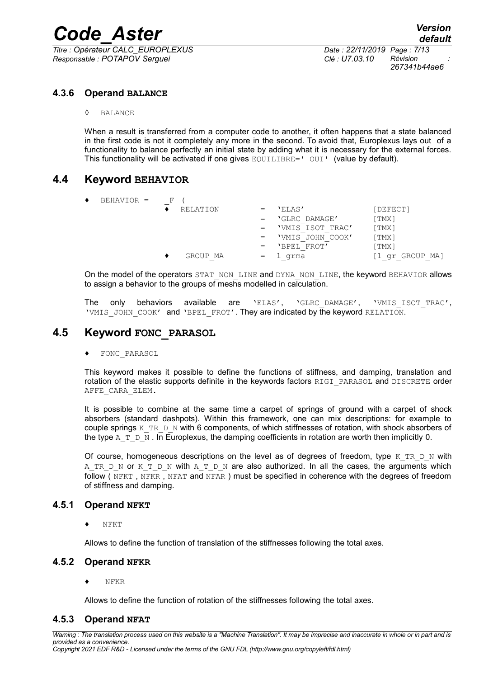*Titre : Opérateur CALC\_EUROPLEXUS Date : 22/11/2019 Page : 7/13 Responsable : POTAPOV Serguei Clé : U7.03.10 Révision :*

*267341b44ae6*

#### **4.3.6 Operand BALANCE**

◊ BALANCE

When a result is transferred from a computer code to another, it often happens that a state balanced in the first code is not it completely any more in the second. To avoid that, Europlexus lays out of a functionality to balance perfectly an initial state by adding what it is necessary for the external forces. This functionality will be activated if one gives EQUILIBRE=' OUI' (value by default).

#### **4.4 Keyword BEHAVIOR**

| $BEHAVIOR =$ | F |          |     |                  |              |
|--------------|---|----------|-----|------------------|--------------|
|              |   | RELATION |     | 'ELAS'           | [DEFECT]     |
|              |   |          | $=$ | 'GLRC DAMAGE'    | [TMX]        |
|              |   |          | $=$ | 'VMIS ISOT TRAC' | [TMX]        |
|              |   |          | $=$ | 'VMIS JOHN COOK' | [TMX]        |
|              |   |          | $=$ | 'BPEL FROT'      | [ TMX ]      |
|              |   | GROUP MA | $=$ | . qrma           | gr GROUP MA] |

On the model of the operators STAT\_NON\_LINE and DYNA\_NON\_LINE, the keyword BEHAVIOR allows to assign a behavior to the groups of meshs modelled in calculation.

The only behaviors available are 'ELAS', 'GLRC\_DAMAGE', 'VMIS\_ISOT\_TRAC', 'VMIS JOHN COOK' and 'BPEL FROT'. They are indicated by the keyword RELATION.

#### **4.5 Keyword FONC\_PARASOL**

FONC PARASOL

This keyword makes it possible to define the functions of stiffness, and damping, translation and rotation of the elastic supports definite in the keywords factors RIGI\_PARASOL and DISCRETE order AFFE\_CARA\_ELEM.

It is possible to combine at the same time a carpet of springs of ground with a carpet of shock absorbers (standard dashpots). Within this framework, one can mix descriptions: for example to couple springs K\_TR\_D\_N with 6 components, of which stiffnesses of rotation, with shock absorbers of the type A\_T\_D\_N . In Europlexus, the damping coefficients in rotation are worth then implicitly 0.

Of course, homogeneous descriptions on the level as of degrees of freedom, type K\_TR\_D\_N with A TR D N or K T D N with A T D N are also authorized. In all the cases, the arguments which follow ( NFKT, NFKR, NFAT and NFAR) must be specified in coherence with the degrees of freedom of stiffness and damping.

#### **4.5.1 Operand NFKT**

NFKT

Allows to define the function of translation of the stiffnesses following the total axes.

#### **4.5.2 Operand NFKR**

♦ NFKR

Allows to define the function of rotation of the stiffnesses following the total axes.

#### **4.5.3 Operand NFAT**

*Warning : The translation process used on this website is a "Machine Translation". It may be imprecise and inaccurate in whole or in part and is provided as a convenience. Copyright 2021 EDF R&D - Licensed under the terms of the GNU FDL (http://www.gnu.org/copyleft/fdl.html)*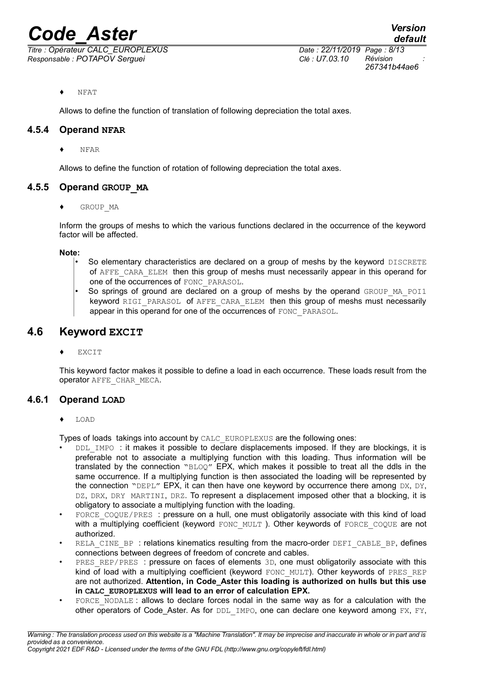*Responsable : POTAPOV Serguei Clé : U7.03.10 Révision :*

NFAT

Allows to define the function of translation of following depreciation the total axes.

#### **4.5.4 Operand NFAR**

♦ NFAR

Allows to define the function of rotation of following depreciation the total axes.

#### **4.5.5 Operand GROUP\_MA**

GROUP MA

Inform the groups of meshs to which the various functions declared in the occurrence of the keyword factor will be affected.

**Note:**

- So elementary characteristics are declared on a group of meshs by the keyword DISCRETE of AFFE\_CARA\_ELEM then this group of meshs must necessarily appear in this operand for one of the occurrences of FONC\_PARASOL.
- So springs of ground are declared on a group of meshs by the operand GROUP MA\_POI1 keyword RIGI\_PARASOL of AFFE\_CARA\_ELEM then this group of meshs must necessarily appear in this operand for one of the occurrences of FONC\_PARASOL.

#### **4.6 Keyword EXCIT**

**EXCIT** 

This keyword factor makes it possible to define a load in each occurrence. These loads result from the operator AFFE\_CHAR\_MECA.

#### **4.6.1 Operand LOAD**

Types of loads takings into account by CALC\_EUROPLEXUS are the following ones:

- DDL IMPO : it makes it possible to declare displacements imposed. If they are blockings, it is preferable not to associate a multiplying function with this loading. Thus information will be translated by the connection "BLOQ" EPX, which makes it possible to treat all the ddls in the same occurrence. If a multiplying function is then associated the loading will be represented by the connection "DEPL" EPX, it can then have one keyword by occurrence there among DX, DY, DZ, DRX, DRY MARTINI, DRZ. To represent a displacement imposed other that a blocking, it is obligatory to associate a multiplying function with the loading.
- FORCE COQUE/PRES : pressure on a hull, one must obligatorily associate with this kind of load with a multiplying coefficient (keyword FONC\_MULT). Other keywords of FORCE\_COQUE are not authorized.
- RELA CINE BP : relations kinematics resulting from the macro-order DEFI CABLE BP, defines connections between degrees of freedom of concrete and cables.
- PRES REP/PRES : pressure on faces of elements 3D, one must obligatorily associate with this kind of load with a multiplying coefficient (keyword FONC\_MULT). Other keywords of PRES\_REP are not authorized. **Attention, in Code\_Aster this loading is authorized on hulls but this use in CALC\_EUROPLEXUS will lead to an error of calculation EPX.**
- FORCE\_NODALE : allows to declare forces nodal in the same way as for a calculation with the other operators of Code\_Aster. As for DDL\_IMPO, one can declare one keyword among FX, FY,

<sup>♦</sup> LOAD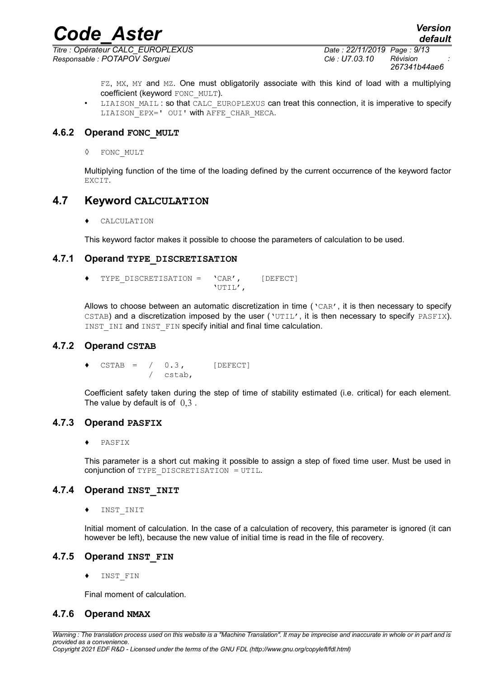*Titre : Opérateur CALC\_EUROPLEXUS Date : 22/11/2019 Page : 9/13 Responsable : POTAPOV Serguei Clé : U7.03.10 Révision :*

*267341b44ae6*

FZ, MX, MY and MZ. One must obligatorily associate with this kind of load with a multiplying coefficient (keyword FONC\_MULT).

LIAISON MAIL : so that CALC\_EUROPLEXUS can treat this connection, it is imperative to specify LIAISON EPX=' OUI' with AFFE CHAR MECA.

#### **4.6.2 Operand FONC\_MULT**

◊ FONC\_MULT

Multiplying function of the time of the loading defined by the current occurrence of the keyword factor EXCIT.

#### **4.7 Keyword CALCULATION**

♦ CALCULATION

This keyword factor makes it possible to choose the parameters of calculation to be used.

#### **4.7.1 Operand TYPE\_DISCRETISATION**

TYPE DISCRETISATION =  $'CAR'$ , [DEFECT] 'UTIL',

Allows to choose between an automatic discretization in time ('CAR', it is then necessary to specify CSTAB) and a discretization imposed by the user ('UTIL', it is then necessary to specify PASFIX). INST\_INI and INST\_FIN specify initial and final time calculation.

#### **4.7.2 Operand CSTAB**

 $CSTAB = / 0.3$ , [DEFECT] / cstab,

Coefficient safety taken during the step of time of stability estimated (i.e. critical) for each element. The value by default is of  $0.3$ .

#### **4.7.3 Operand PASFIX**

♦ PASFIX

This parameter is a short cut making it possible to assign a step of fixed time user. Must be used in conjunction of TYPE\_DISCRETISATION = UTIL.

#### **4.7.4 Operand INST\_INIT**

INST INIT

Initial moment of calculation. In the case of a calculation of recovery, this parameter is ignored (it can however be left), because the new value of initial time is read in the file of recovery.

#### **4.7.5 Operand INST\_FIN**

INST FIN

Final moment of calculation.

#### **4.7.6 Operand NMAX**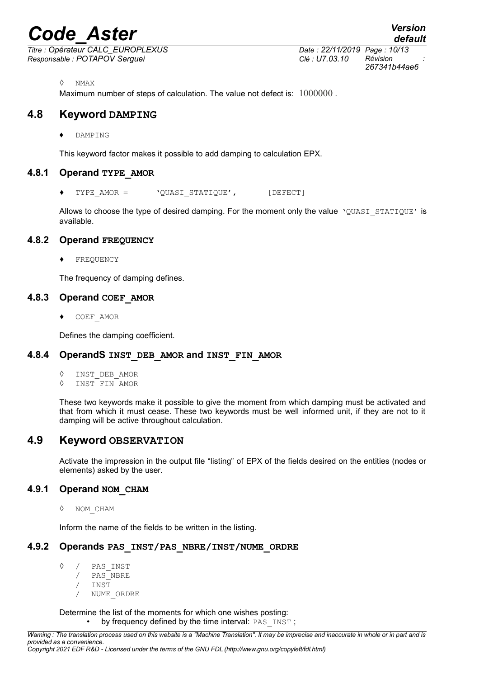*Titre : Opérateur CALC\_EUROPLEXUS Date : 22/11/2019 Page : 10/13 Responsable : POTAPOV Serguei Clé : U7.03.10 Révision :*

*267341b44ae6*

*default*

◊ NMAX

Maximum number of steps of calculation. The value not defect is:  $1000000$ .

#### **4.8 Keyword DAMPING**

♦ DAMPING

This keyword factor makes it possible to add damping to calculation EPX.

#### **4.8.1 Operand TYPE\_AMOR**

♦ TYPE\_AMOR = 'QUASI\_STATIQUE', [DEFECT]

Allows to choose the type of desired damping. For the moment only the value 'QUASI\_STATIQUE' is available.

#### **4.8.2 Operand FREQUENCY**

FREQUENCY

The frequency of damping defines.

#### **4.8.3 Operand COEF\_AMOR**

♦ COEF\_AMOR

Defines the damping coefficient.

#### **4.8.4 OperandS INST\_DEB\_AMOR and INST\_FIN\_AMOR**

- ◊ INST\_DEB\_AMOR
- ◊ INST\_FIN\_AMOR

These two keywords make it possible to give the moment from which damping must be activated and that from which it must cease. These two keywords must be well informed unit, if they are not to it damping will be active throughout calculation.

#### **4.9 Keyword OBSERVATION**

Activate the impression in the output file "listing" of EPX of the fields desired on the entities (nodes or elements) asked by the user.

#### **4.9.1 Operand NOM\_CHAM**

◊ NOM\_CHAM

<span id="page-9-0"></span>Inform the name of the fields to be written in the listing.

#### **4.9.2 Operands PAS\_INST/PAS\_NBRE/INST/NUME\_ORDRE**

- ◊ / PAS\_INST
	- PAS\_NBRE
	- $INST$
	- / NUME\_ORDRE

Determine the list of the moments for which one wishes posting: by frequency defined by the time interval: PAS\_INST;

*Copyright 2021 EDF R&D - Licensed under the terms of the GNU FDL (http://www.gnu.org/copyleft/fdl.html)*

*Warning : The translation process used on this website is a "Machine Translation". It may be imprecise and inaccurate in whole or in part and is provided as a convenience.*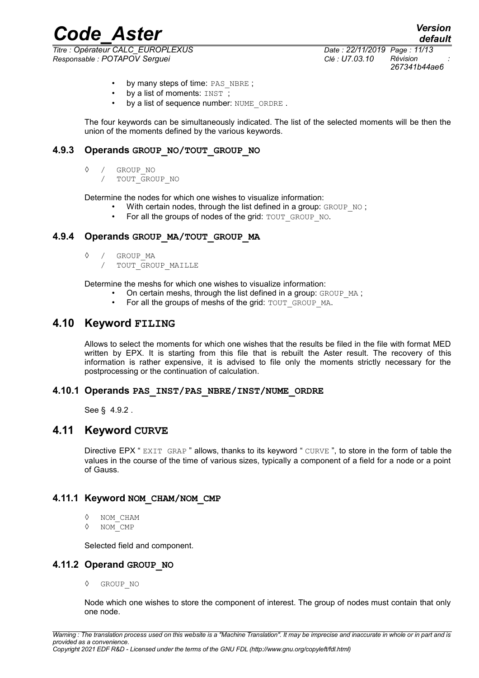*Titre : Opérateur CALC\_EUROPLEXUS Date : 22/11/2019 Page : 11/13 Responsable : POTAPOV Serguei Clé : U7.03.10 Révision :*

*Code\_Aster Version default 267341b44ae6*

- by many steps of time: PAS\_NBRE ;
- by a list of moments:  $INST$ ;
- by a list of sequence number: NUME\_ORDRE.

The four keywords can be simultaneously indicated. The list of the selected moments will be then the union of the moments defined by the various keywords.

#### **4.9.3 Operands GROUP\_NO/TOUT\_GROUP\_NO**

- ◊ / GROUP\_NO
	- / TOUT\_GROUP\_NO

Determine the nodes for which one wishes to visualize information:

- With certain nodes, through the list defined in a group: GROUP NO;
	- For all the groups of nodes of the grid: TOUT\_GROUP\_NO.

#### **4.9.4 Operands GROUP\_MA/TOUT\_GROUP\_MA**

- ◊ / GROUP\_MA
	- / TOUT\_GROUP\_MAILLE

Determine the meshs for which one wishes to visualize information:

- On certain meshs, through the list defined in a group:  $GROUP$  MA;
- For all the groups of meshs of the grid: TOUT GROUP MA.

#### **4.10 Keyword FILING**

Allows to select the moments for which one wishes that the results be filed in the file with format MED written by EPX. It is starting from this file that is rebuilt the Aster result. The recovery of this information is rather expensive, it is advised to file only the moments strictly necessary for the postprocessing or the continuation of calculation.

#### **4.10.1 Operands PAS\_INST/PAS\_NBRE/INST/NUME\_ORDRE**

See § [4.9.2](#page-9-0) .

#### **4.11 Keyword CURVE**

Directive EPX " EXIT GRAP " allows, thanks to its keyword " CURVE ", to store in the form of table the values in the course of the time of various sizes, typically a component of a field for a node or a point of Gauss.

#### **4.11.1 Keyword NOM\_CHAM/NOM\_CMP**

- ◊ NOM\_CHAM
- ◊ NOM\_CMP

Selected field and component.

#### **4.11.2 Operand GROUP\_NO**

◊ GROUP\_NO

Node which one wishes to store the component of interest. The group of nodes must contain that only one node.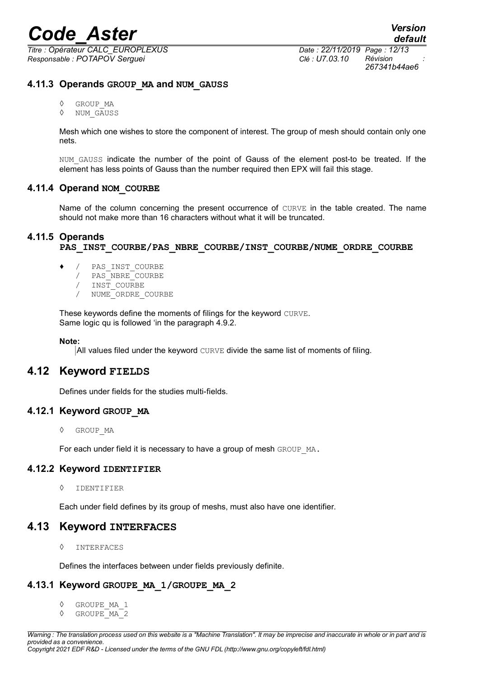*Titre : Opérateur CALC\_EUROPLEXUS Date : 22/11/2019 Page : 12/13 Responsable : POTAPOV Serguei Clé : U7.03.10 Révision :*

*267341b44ae6*

#### **4.11.3 Operands GROUP\_MA and NUM\_GAUSS**

- ◊ GROUP\_MA
- ◊ NUM\_GAUSS

Mesh which one wishes to store the component of interest. The group of mesh should contain only one nets.

NUM GAUSS indicate the number of the point of Gauss of the element post-to be treated. If the element has less points of Gauss than the number required then EPX will fail this stage.

#### **4.11.4 Operand NOM\_COURBE**

Name of the column concerning the present occurrence of CURVE in the table created. The name should not make more than 16 characters without what it will be truncated.

#### **4.11.5 Operands**

PAS\_INST\_COURBE/PAS\_NBRE\_COURBE/INST\_COURBE/NUME\_ORDRE\_COURBE

- ♦ / PAS\_INST\_COURBE
	- / PAS\_NBRE\_COURBE
	- / INST\_COURBE
	- / NUME\_ORDRE\_COURBE

These keywords define the moments of filings for the keyword CURVE. Same logic qu is followed 'in the paragraph [4.9.2.](#page-9-0)

#### **Note:**

All values filed under the keyword CURVE divide the same list of moments of filing.

#### **4.12 Keyword FIELDS**

Defines under fields for the studies multi-fields.

#### **4.12.1 Keyword GROUP\_MA**

◊ GROUP\_MA

For each under field it is necessary to have a group of mesh GROUP MA.

#### **4.12.2 Keyword IDENTIFIER**

◊ IDENTIFIER

Each under field defines by its group of meshs, must also have one identifier.

#### **4.13 Keyword INTERFACES**

◊ INTERFACES

Defines the interfaces between under fields previously definite.

#### **4.13.1 Keyword GROUPE\_MA\_1/GROUPE\_MA\_2**

- ◊ GROUPE\_MA\_1
- ◊ GROUPE\_MA\_2